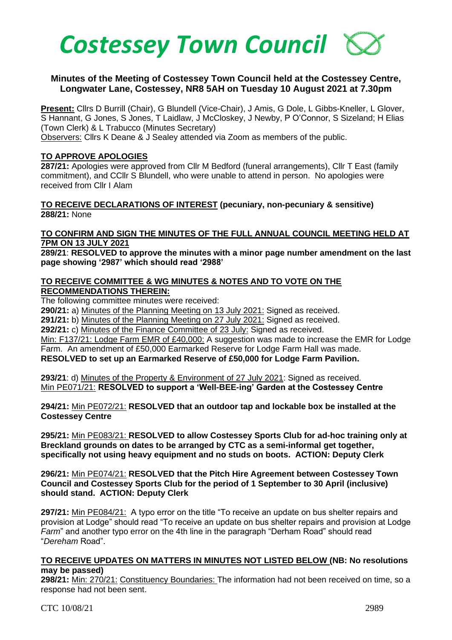

#### **Minutes of the Meeting of Costessey Town Council held at the Costessey Centre, Longwater Lane, Costessey, NR8 5AH on Tuesday 10 August 2021 at 7.30pm**

**Present:** Cllrs D Burrill (Chair), G Blundell (Vice-Chair), J Amis, G Dole, L Gibbs-Kneller, L Glover, S Hannant, G Jones, S Jones, T Laidlaw, J McCloskey, J Newby, P O'Connor, S Sizeland; H Elias (Town Clerk) & L Trabucco (Minutes Secretary)

Observers: Cllrs K Deane & J Sealey attended via Zoom as members of the public.

#### **TO APPROVE APOLOGIES**

**287/21:** Apologies were approved from Cllr M Bedford (funeral arrangements), Cllr T East (family commitment), and CCllr S Blundell, who were unable to attend in person. No apologies were received from Cllr I Alam

**TO RECEIVE DECLARATIONS OF INTEREST (pecuniary, non-pecuniary & sensitive) 288/21:** None

#### **TO CONFIRM AND SIGN THE MINUTES OF THE FULL ANNUAL COUNCIL MEETING HELD AT 7PM ON 13 JULY 2021**

**289/21**: **RESOLVED to approve the minutes with a minor page number amendment on the last page showing '2987' which should read '2988'**

#### **TO RECEIVE COMMITTEE & WG MINUTES & NOTES AND TO VOTE ON THE RECOMMENDATIONS THEREIN:**

The following committee minutes were received:

**290/21:** a) Minutes of the Planning Meeting on 13 July 2021: Signed as received.

**291/21:** b) Minutes of the Planning Meeting on 27 July 2021: Signed as received.

**292/21:** c) Minutes of the Finance Committee of 23 July: Signed as received.

Min: F137/21: Lodge Farm EMR of £40,000: A suggestion was made to increase the EMR for Lodge Farm. An amendment of £50,000 Earmarked Reserve for Lodge Farm Hall was made.

**RESOLVED to set up an Earmarked Reserve of £50,000 for Lodge Farm Pavilion.** 

**293/21**: d) Minutes of the Property & Environment of 27 July 2021: Signed as received. Min PE071/21: **RESOLVED to support a 'Well-BEE-ing' Garden at the Costessey Centre**

**294/21:** Min PE072/21: **RESOLVED that an outdoor tap and lockable box be installed at the Costessey Centre**

**295/21:** Min PE083/21: **RESOLVED to allow Costessey Sports Club for ad-hoc training only at Breckland grounds on dates to be arranged by CTC as a semi-informal get together, specifically not using heavy equipment and no studs on boots. ACTION: Deputy Clerk**

**296/21:** Min PE074/21: **RESOLVED that the Pitch Hire Agreement between Costessey Town Council and Costessey Sports Club for the period of 1 September to 30 April (inclusive) should stand. ACTION: Deputy Clerk**

**297/21:** Min PE084/21: A typo error on the title "To receive an update on bus shelter repairs and provision at Lodge" should read "To receive an update on bus shelter repairs and provision at Lodge *Farm*" and another typo error on the 4th line in the paragraph "Derham Road" should read "*Dereham* Road".

#### **TO RECEIVE UPDATES ON MATTERS IN MINUTES NOT LISTED BELOW (NB: No resolutions may be passed)**

**298/21:** Min: 270/21: Constituency Boundaries: The information had not been received on time, so a response had not been sent.